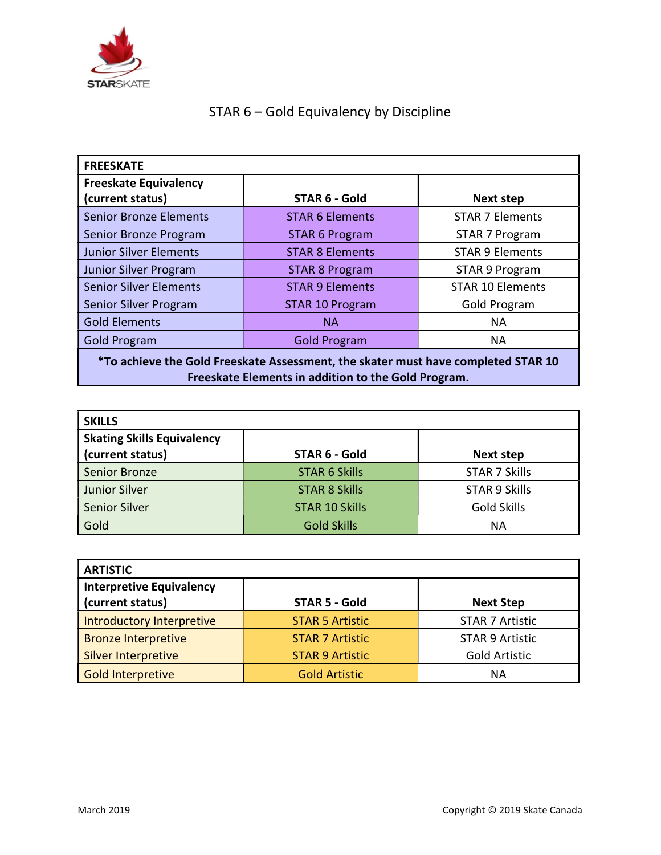

## STAR 6 – Gold Equivalency by Discipline

| <b>FREESKATE</b>                                                                  |                        |                         |  |  |
|-----------------------------------------------------------------------------------|------------------------|-------------------------|--|--|
| <b>Freeskate Equivalency</b>                                                      |                        |                         |  |  |
| (current status)                                                                  | STAR 6 - Gold          | <b>Next step</b>        |  |  |
| <b>Senior Bronze Elements</b>                                                     | <b>STAR 6 Elements</b> | <b>STAR 7 Elements</b>  |  |  |
| Senior Bronze Program                                                             | <b>STAR 6 Program</b>  | STAR 7 Program          |  |  |
| <b>Junior Silver Elements</b>                                                     | <b>STAR 8 Elements</b> | <b>STAR 9 Elements</b>  |  |  |
| <b>Junior Silver Program</b>                                                      | <b>STAR 8 Program</b>  | STAR 9 Program          |  |  |
| <b>Senior Silver Elements</b>                                                     | <b>STAR 9 Elements</b> | <b>STAR 10 Elements</b> |  |  |
| Senior Silver Program                                                             | <b>STAR 10 Program</b> | Gold Program            |  |  |
| <b>Gold Elements</b>                                                              | <b>NA</b>              | <b>NA</b>               |  |  |
| <b>Gold Program</b>                                                               | <b>Gold Program</b>    | NА                      |  |  |
| *To achieve the Gold Freeskate Assessment, the skater must have completed STAR 10 |                        |                         |  |  |

Freeskate Elements in addition to the Gold Program.

| <b>SKILLS</b>                                         |                       |                      |
|-------------------------------------------------------|-----------------------|----------------------|
| <b>Skating Skills Equivalency</b><br>(current status) | STAR 6 - Gold         | <b>Next step</b>     |
| Senior Bronze                                         | <b>STAR 6 Skills</b>  | <b>STAR 7 Skills</b> |
| <b>Junior Silver</b>                                  | <b>STAR 8 Skills</b>  | <b>STAR 9 Skills</b> |
| <b>Senior Silver</b>                                  | <b>STAR 10 Skills</b> | <b>Gold Skills</b>   |
| Gold                                                  | <b>Gold Skills</b>    | <b>NA</b>            |

| <b>ARTISTIC</b>                                     |                        |                        |  |  |
|-----------------------------------------------------|------------------------|------------------------|--|--|
| <b>Interpretive Equivalency</b><br>(current status) | <b>STAR 5 - Gold</b>   | <b>Next Step</b>       |  |  |
| Introductory Interpretive                           | <b>STAR 5 Artistic</b> | <b>STAR 7 Artistic</b> |  |  |
| <b>Bronze Interpretive</b>                          | <b>STAR 7 Artistic</b> | <b>STAR 9 Artistic</b> |  |  |
| Silver Interpretive                                 | <b>STAR 9 Artistic</b> | <b>Gold Artistic</b>   |  |  |
| Gold Interpretive                                   | <b>Gold Artistic</b>   | ΝA                     |  |  |